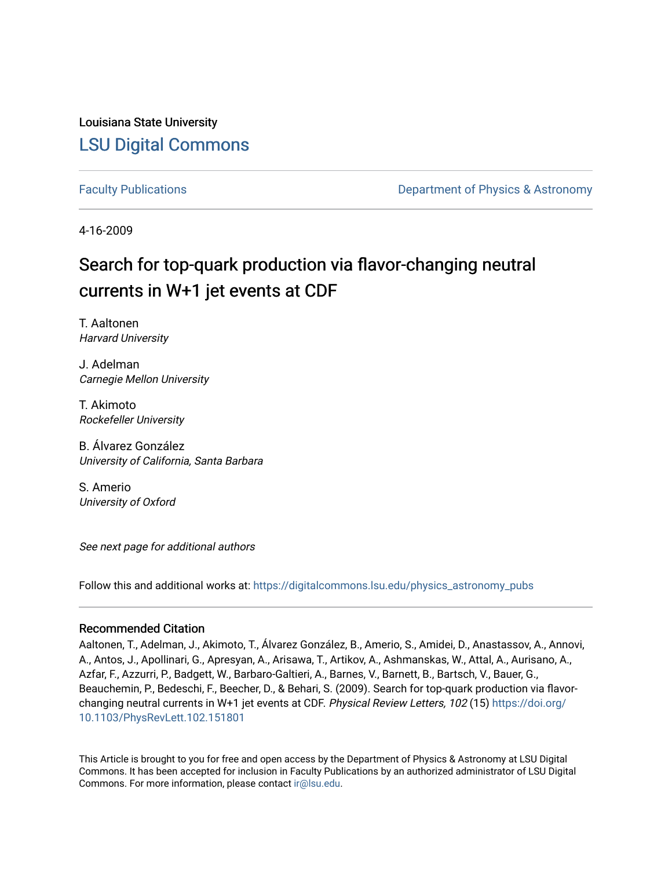Louisiana State University [LSU Digital Commons](https://digitalcommons.lsu.edu/)

[Faculty Publications](https://digitalcommons.lsu.edu/physics_astronomy_pubs) **Example 2** Constant Department of Physics & Astronomy

4-16-2009

# Search for top-quark production via flavor-changing neutral currents in W+1 jet events at CDF

T. Aaltonen Harvard University

J. Adelman Carnegie Mellon University

T. Akimoto Rockefeller University

B. Álvarez González University of California, Santa Barbara

S. Amerio University of Oxford

See next page for additional authors

Follow this and additional works at: [https://digitalcommons.lsu.edu/physics\\_astronomy\\_pubs](https://digitalcommons.lsu.edu/physics_astronomy_pubs?utm_source=digitalcommons.lsu.edu%2Fphysics_astronomy_pubs%2F2463&utm_medium=PDF&utm_campaign=PDFCoverPages) 

#### Recommended Citation

Aaltonen, T., Adelman, J., Akimoto, T., Álvarez González, B., Amerio, S., Amidei, D., Anastassov, A., Annovi, A., Antos, J., Apollinari, G., Apresyan, A., Arisawa, T., Artikov, A., Ashmanskas, W., Attal, A., Aurisano, A., Azfar, F., Azzurri, P., Badgett, W., Barbaro-Galtieri, A., Barnes, V., Barnett, B., Bartsch, V., Bauer, G., Beauchemin, P., Bedeschi, F., Beecher, D., & Behari, S. (2009). Search for top-quark production via flavorchanging neutral currents in W+1 jet events at CDF. Physical Review Letters, 102 (15) [https://doi.org/](https://doi.org/10.1103/PhysRevLett.102.151801) [10.1103/PhysRevLett.102.151801](https://doi.org/10.1103/PhysRevLett.102.151801)

This Article is brought to you for free and open access by the Department of Physics & Astronomy at LSU Digital Commons. It has been accepted for inclusion in Faculty Publications by an authorized administrator of LSU Digital Commons. For more information, please contact [ir@lsu.edu](mailto:ir@lsu.edu).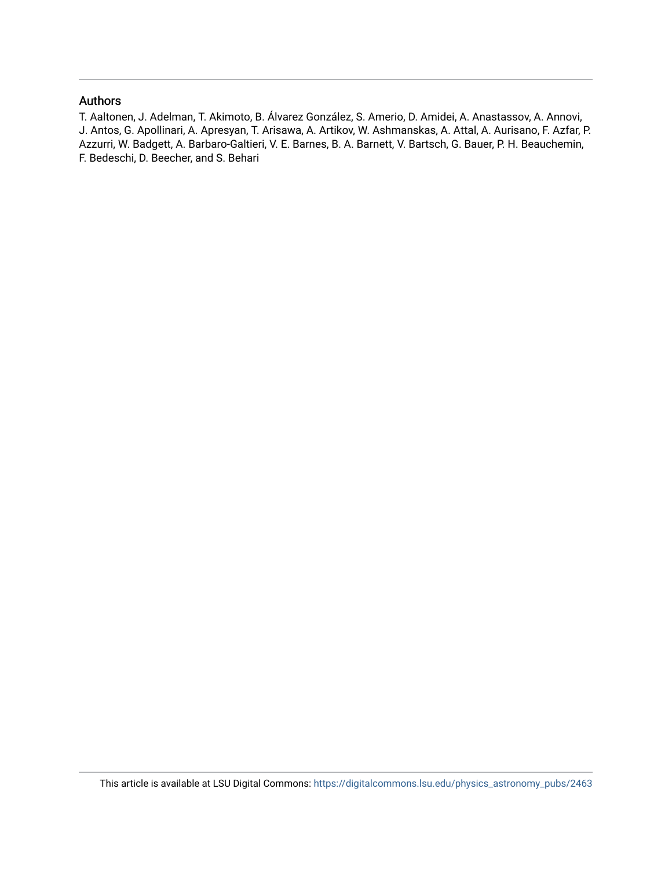### Authors

T. Aaltonen, J. Adelman, T. Akimoto, B. Álvarez González, S. Amerio, D. Amidei, A. Anastassov, A. Annovi, J. Antos, G. Apollinari, A. Apresyan, T. Arisawa, A. Artikov, W. Ashmanskas, A. Attal, A. Aurisano, F. Azfar, P. Azzurri, W. Badgett, A. Barbaro-Galtieri, V. E. Barnes, B. A. Barnett, V. Bartsch, G. Bauer, P. H. Beauchemin, F. Bedeschi, D. Beecher, and S. Behari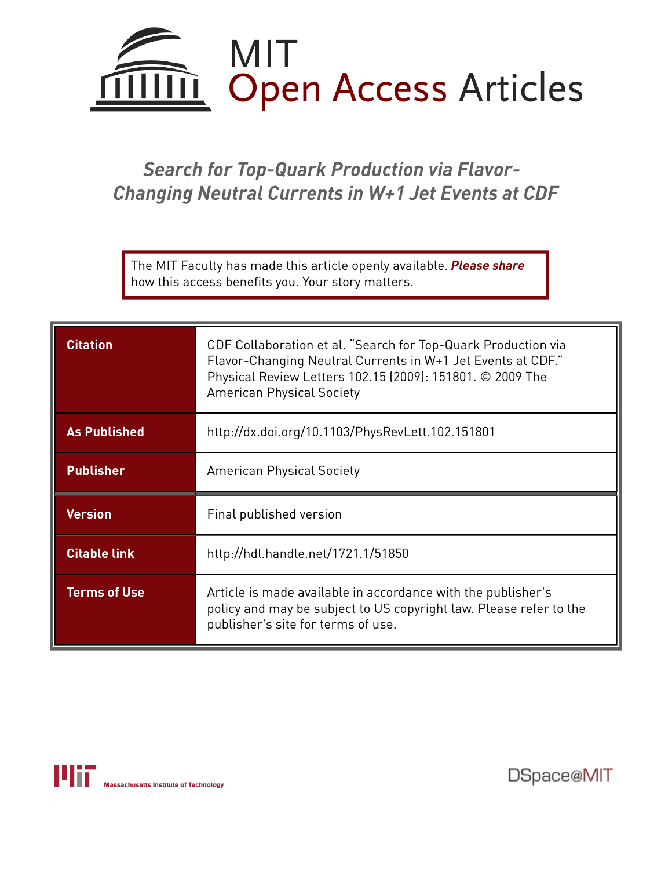

# *Search for Top-Quark Production via Flavor-Changing Neutral Currents in W+1 Jet Events at CDF*

The MIT Faculty has made this article openly available. *[Please](https://libraries.mit.edu/forms/dspace-oa-articles.html) share* how this access benefits you. Your story matters.

| <b>Citation</b>     | CDF Collaboration et al. "Search for Top-Quark Production via<br>Flavor-Changing Neutral Currents in W+1 Jet Events at CDF."<br>Physical Review Letters 102.15 (2009): 151801. © 2009 The<br><b>American Physical Society</b> |
|---------------------|-------------------------------------------------------------------------------------------------------------------------------------------------------------------------------------------------------------------------------|
| <b>As Published</b> | http://dx.doi.org/10.1103/PhysRevLett.102.151801                                                                                                                                                                              |
| <b>Publisher</b>    | <b>American Physical Society</b>                                                                                                                                                                                              |
| <b>Version</b>      | Final published version                                                                                                                                                                                                       |
| <b>Citable link</b> | http://hdl.handle.net/1721.1/51850                                                                                                                                                                                            |
| <b>Terms of Use</b> | Article is made available in accordance with the publisher's<br>policy and may be subject to US copyright law. Please refer to the<br>publisher's site for terms of use.                                                      |



DSpace@MIT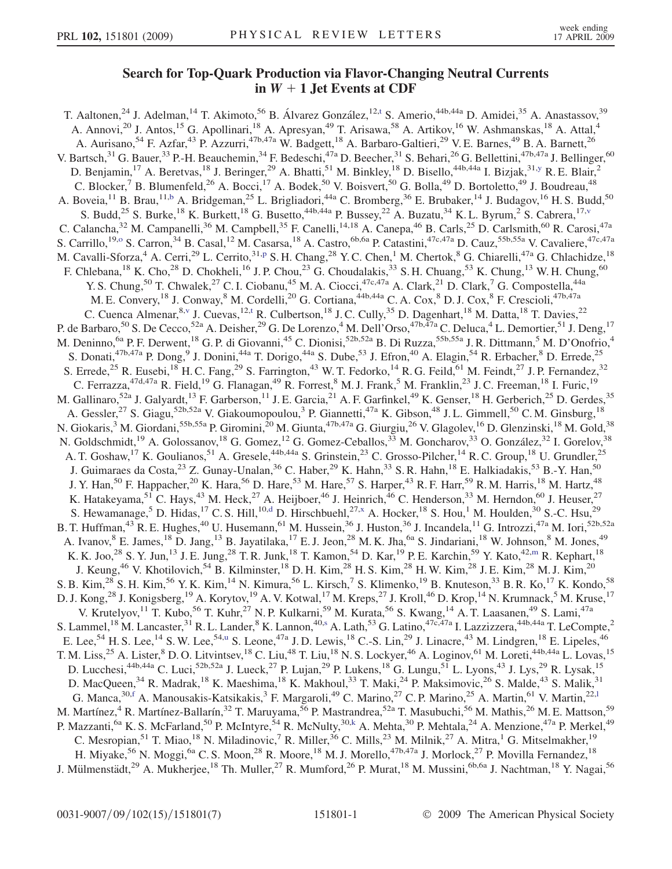### Search for Top-Quark Production via Flavor-Changing Neutral Currents in  $W + 1$  Jet Events at CDF

<span id="page-3-0"></span>T. Aal[t](#page-9-0)onen,<sup>24</sup> J. Adelman,<sup>14</sup> T. Akimoto,<sup>56</sup> B. Álvarez González,<sup>12,t</sup> S. Amerio,<sup>44b,44a</sup> D. Amidei,<sup>35</sup> A. Anastassov,<sup>39</sup> A. Annovi,<sup>20</sup> J. Antos,<sup>15</sup> G. Apollinari,<sup>18</sup> A. Apresyan,<sup>49</sup> T. Arisawa,<sup>58</sup> A. Artikov,<sup>16</sup> W. Ashmanskas,<sup>18</sup> A. Attal,<sup>4</sup> A. Aurisano,<sup>54</sup> F. Azfar,<sup>43</sup> P. Azzurri,<sup>47b,47a</sup> W. Badgett,<sup>18</sup> A. Barbaro-Galtieri,<sup>29</sup> V. E. Barnes,<sup>49</sup> B. A. Barnett,<sup>26</sup> V. Bartsch,<sup>31</sup> G. Bauer,<sup>33</sup> P.-H. Beauchemin,<sup>34</sup> F. Bedeschi,<sup>47a</sup> D. Beecher,<sup>31</sup> S. Behari,<sup>26</sup> G. Bellettini,<sup>47b,47a</sup> J. Bellinger,<sup>60</sup> D. Benjamin,<sup>17</sup> A. Beretvas,<sup>18</sup> J. Beringer,<sup>29</sup> A. Bhatti,<sup>51</sup> M. Binkley,<sup>18</sup> D. Bisello,<sup>44b,44a</sup> I. Bizjak,<sup>31[,y](#page-9-0)</sup> R. E. Blair,<sup>2</sup> C. Blocker,<sup>7</sup> B. Blumenfeld,<sup>26</sup> A. Bocci,<sup>17</sup> A. Bodek,<sup>50</sup> V. Boisvert,<sup>50</sup> G. Bolla,<sup>49</sup> D. Bortoletto,<sup>49</sup> J. Boudreau,<sup>48</sup> A. Boveia,<sup>11</sup> B. Brau,<sup>11[,b](#page-8-0)</sup> A. Bridgeman,<sup>25</sup> L. Brigliadori,<sup>44a</sup> C. Bromberg,<sup>36</sup> E. Brubaker,<sup>14</sup> J. Budagov,<sup>16</sup> H. S. Budd,<sup>50</sup> S. Budd,<sup>25</sup> S. Burke,<sup>18</sup> K. Burkett,<sup>18</sup> G. Busetto,<sup>44b,44a</sup> P. Bussey,<sup>22</sup> A. Buzatu,<sup>34</sup> K. L. Byrum,<sup>2</sup> S. Cabrera,<sup>17,[v](#page-9-0)</sup> C. Calancha,<sup>32</sup> M. Campanelli,<sup>36</sup> M. Campbell,<sup>35</sup> F. Canelli,<sup>14,18</sup> A. Canepa,<sup>46</sup> B. Carls,<sup>25</sup> D. Carlsmith,<sup>60</sup> R. Carosi,<sup>47a</sup> S. Carrillo,<sup>19[,o](#page-8-0)</sup> S. Carron,<sup>34</sup> B. Casal,<sup>12</sup> M. Casarsa,<sup>18</sup> A. Castro,<sup>6b,6a</sup> P. Catastini,<sup>47c,47a</sup> D. Cauz,<sup>55b,55a</sup> V. Cavaliere,<sup>47c,47a</sup> M. Cavalli-Sforza,<sup>4</sup> A. Cerri,<sup>29</sup> L. Cerrito,<sup>31[,p](#page-8-0)</sup> S. H. Chang,<sup>28</sup> Y. C. Chen,<sup>1</sup> M. Chertok,<sup>8</sup> G. Chiarelli,<sup>47a</sup> G. Chlachidze,<sup>18</sup> F. Chlebana,<sup>18</sup> K. Cho,<sup>28</sup> D. Chokheli,<sup>16</sup> J. P. Chou,<sup>23</sup> G. Choudalakis,<sup>33</sup> S. H. Chuang,<sup>53</sup> K. Chung,<sup>13</sup> W. H. Chung,<sup>60</sup> Y. S. Chung,<sup>50</sup> T. Chwalek,<sup>27</sup> C. I. Ciobanu,<sup>45</sup> M. A. Ciocci,<sup>47c,47a</sup> A. Clark,<sup>21</sup> D. Clark,<sup>7</sup> G. Compostella,<sup>44a</sup> M. E. Convery, <sup>18</sup> J. Conway, <sup>8</sup> M. Cordelli, <sup>20</sup> G. Cortiana, <sup>44b, 44a</sup> C. A. Cox, <sup>8</sup> D. J. Cox, <sup>8</sup> F. Crescioli, <sup>47b, 47a</sup> C. Cuenca Almenar, <sup>8, [v](#page-9-0)</sup> J. Cuevas, <sup>12[,t](#page-9-0)</sup> R. Culbertson, <sup>18</sup> J. C. Cully, <sup>35</sup> D. Dagenhart, <sup>18</sup> M. Datta, <sup>18</sup> T. Davies, <sup>22</sup> P. de Barbaro,<sup>50</sup> S. De Cecco,<sup>52a</sup> A. Deisher,<sup>29</sup> G. De Lorenzo,<sup>4</sup> M. Dell'Orso,<sup>47b,47a</sup> C. Deluca,<sup>4</sup> L. Demortier,<sup>51</sup> J. Deng,<sup>17</sup> M. Deninno, <sup>6a</sup> P. F. Derwent, <sup>18</sup> G. P. di Giovanni, <sup>45</sup> C. Dionisi, <sup>52b, 52a</sup> B. Di Ruzza, <sup>55b, 55a</sup> J. R. Dittmann, <sup>5</sup> M. D'Onofrio, <sup>4</sup> S. Donati, <sup>47b, 47a</sup> P. Dong, <sup>9</sup> J. Donini, <sup>44a</sup> T. Dorigo, <sup>44a</sup> S. Dube, <sup>53</sup> J. Efron, <sup>40</sup> A. Elagin, <sup>54</sup> R. Erbacher, <sup>8</sup> D. Errede, <sup>25</sup> S. Errede,<sup>25</sup> R. Eusebi,<sup>18</sup> H. C. Fang,<sup>29</sup> S. Farrington,<sup>43</sup> W. T. Fedorko,<sup>14</sup> R. G. Feild,<sup>61</sup> M. Feindt,<sup>27</sup> J. P. Fernandez,<sup>32</sup> C. Ferrazza,  $47d,47a$  R. Field,  $19$  G. Flanagan,  $49$  R. Forrest,  $8$  M. J. Frank,  $5$  M. Franklin,  $23$  J. C. Freeman,  $18$  I. Furic,  $19$ M. Gallinaro,<sup>52a</sup> J. Galyardt,<sup>13</sup> F. Garberson,<sup>11</sup> J. E. Garcia,<sup>21</sup> A. F. Garfinkel,<sup>49</sup> K. Genser,<sup>18</sup> H. Gerberich,<sup>25</sup> D. Gerdes,<sup>35</sup> A. Gessler,<sup>27</sup> S. Giagu,<sup>52b,52a</sup> V. Giakoumopoulou,<sup>3</sup> P. Giannetti,<sup>47a</sup> K. Gibson,<sup>48</sup> J. L. Gimmell,<sup>50</sup> C. M. Ginsburg,<sup>18</sup> N. Giokaris,<sup>3</sup> M. Giordani,<sup>55b,55a</sup> P. Giromini,<sup>20</sup> M. Giunta,<sup>47b,47a</sup> G. Giurgiu,<sup>26</sup> V. Glagolev,<sup>16</sup> D. Glenzinski,<sup>18</sup> M. Gold,<sup>38</sup> N. Goldschmidt,<sup>19</sup> A. Golossanov,<sup>18</sup> G. Gomez,<sup>12</sup> G. Gomez-Ceballos,<sup>33</sup> M. Goncharov,<sup>33</sup> O. González,<sup>32</sup> I. Gorelov,<sup>38</sup> A. T. Goshaw,<sup>17</sup> K. Goulianos,<sup>51</sup> A. Gresele,<sup>44b,44a</sup> S. Grinstein,<sup>23</sup> C. Grosso-Pilcher,<sup>14</sup> R. C. Group,<sup>18</sup> U. Grundler,<sup>25</sup> J. Guimaraes da Costa,<sup>23</sup> Z. Gunay-Unalan,<sup>36</sup> C. Haber,<sup>29</sup> K. Hahn,<sup>33</sup> S. R. Hahn,<sup>18</sup> E. Halkiadakis,<sup>53</sup> B.-Y. Han,<sup>50</sup> J. Y. Han,<sup>50</sup> F. Happacher,<sup>20</sup> K. Hara,<sup>56</sup> D. Hare,<sup>53</sup> M. Hare,<sup>57</sup> S. Harper,<sup>43</sup> R. F. Harr,<sup>59</sup> R. M. Harris,<sup>18</sup> M. Hartz,<sup>48</sup> K. Hatakeyama,<sup>51</sup> C. Hays,<sup>43</sup> M. Heck,<sup>27</sup> A. Heijboer,<sup>46</sup> J. Heinrich,<sup>46</sup> C. Henderson,<sup>33</sup> M. Herndon,<sup>60</sup> J. Heuser,<sup>27</sup> S. Hewamanage,<sup>5</sup> D. Hi[d](#page-8-0)as,<sup>17</sup> C. S. Hill,<sup>10,d</sup> D. Hirschbuehl,<sup>27[,x](#page-9-0)</sup> A. Hocker,<sup>18</sup> S. Hou,<sup>1</sup> M. Houlden,<sup>30</sup> S.-C. Hsu,<sup>29</sup> B. T. Huffman,<sup>43</sup> R. E. Hughes,<sup>40</sup> U. Husemann,<sup>61</sup> M. Hussein,<sup>36</sup> J. Huston,<sup>36</sup> J. Incandela,<sup>11</sup> G. Introzzi,<sup>47a</sup> M. Iori,<sup>52b,52a</sup> A. Ivanov, <sup>8</sup> E. James, <sup>18</sup> D. Jang, <sup>13</sup> B. Jayatilaka, <sup>17</sup> E. J. Jeon, <sup>28</sup> M. K. Jha, <sup>6a</sup> S. Jindariani, <sup>18</sup> W. Johnson, <sup>8</sup> M. Jones, <sup>49</sup> K. K. Joo,<sup>28</sup> S. Y. Jun,<sup>13</sup> J. E. Jung,<sup>28</sup> T. R. Junk,<sup>18</sup> T. Ka[m](#page-8-0)on,<sup>54</sup> D. Kar,<sup>19</sup> P. E. Karchin,<sup>59</sup> Y. Kato,<sup>42,m</sup> R. Kephart,<sup>18</sup> J. Keung,<sup>46</sup> V. Khotilovich,<sup>54</sup> B. Kilminster,<sup>18</sup> D. H. Kim,<sup>28</sup> H. S. Kim,<sup>28</sup> H. W. Kim,<sup>28</sup> J. E. Kim,<sup>28</sup> M. J. Kim,<sup>20</sup> S. B. Kim,<sup>28</sup> S. H. Kim,<sup>56</sup> Y. K. Kim,<sup>14</sup> N. Kimura,<sup>56</sup> L. Kirsch,<sup>7</sup> S. Klimenko,<sup>19</sup> B. Knuteson,<sup>33</sup> B. R. Ko,<sup>17</sup> K. Kondo,<sup>58</sup> D. J. Kong,<sup>28</sup> J. Konigsberg,<sup>19</sup> A. Korytov,<sup>19</sup> A. V. Kotwal,<sup>17</sup> M. Kreps,<sup>27</sup> J. Kroll,<sup>46</sup> D. Krop,<sup>14</sup> N. Krumnack,<sup>5</sup> M. Kruse,<sup>17</sup> V. Krutelyov,<sup>11</sup> T. Kubo,<sup>56</sup> T. Kuhr,<sup>27</sup> N. P. Kulkarni,<sup>59</sup> M. Kurata,<sup>56</sup> S. Kwang,<sup>14</sup> A. T. Laasanen,<sup>49</sup> S. Lami,<sup>47a</sup> S. Lammel,<[s](#page-8-0)up>18</sup> M. Lancaster,<sup>31</sup> R. L. Lander,<sup>8</sup> K. Lannon,<sup>40,s</sup> A. Lath,<sup>53</sup> G. Latino,<sup>47c,47a</sup> I. Lazzizzera,<sup>44b,44a</sup> T. LeCompte,<sup>2</sup> E. Lee,<sup>54</sup> H. S. Lee,<sup>14</sup> S. W. Lee,<sup>54[,u](#page-9-0)</sup> S. Leone,<sup>47a</sup> J. D. Lewis,<sup>18</sup> C.-S. Lin,<sup>29</sup> J. Linacre,<sup>43</sup> M. Lindgren,<sup>18</sup> E. Lipeles,<sup>46</sup> T. M. Liss,<sup>25</sup> A. Lister,<sup>8</sup> D. O. Litvintsev,<sup>18</sup> C. Liu,<sup>48</sup> T. Liu,<sup>18</sup> N. S. Lockyer,<sup>46</sup> A. Loginov,<sup>61</sup> M. Loreti,<sup>44b,44a</sup> L. Lovas,<sup>15</sup> D. Lucchesi,<sup>44b,44a</sup> C. Luci,<sup>52b,52a</sup> J. Lueck,<sup>27</sup> P. Lujan,<sup>29</sup> P. Lukens,<sup>18</sup> G. Lungu,<sup>51</sup> L. Lyons,<sup>43</sup> J. Lys,<sup>29</sup> R. Lysak,<sup>15</sup> D. MacQueen,<sup>34</sup> R. Madrak,<sup>18</sup> K. Maeshima,<sup>18</sup> K. Makhoul,<sup>33</sup> T. Maki,<sup>24</sup> P. Maksimovic,<sup>26</sup> S. Malde,<sup>43</sup> S. Malik,<sup>31</sup> G. Manca,<sup>30[,f](#page-8-0)</sup> A. Manousakis-Katsikakis,<sup>3</sup> F. Margaro[l](#page-8-0)i,<sup>49</sup> C. Marino,<sup>27</sup> C. P. Marino,<sup>25</sup> A. Martin,<sup>61</sup> V. Martin,<sup>22,1</sup> M. Martínez,<sup>4</sup> R. Martínez-Ballarín,<sup>32</sup> T. Maruyama,<sup>56</sup> P. Mastrandrea,<sup>52a</sup> T. Masubuchi,<sup>56</sup> M. Mathis,<sup>26</sup> M. E. Mattson,<sup>59</sup> P. Mazzanti,<sup>6a</sup> K. S. McFarland,<sup>50</sup> P. McIntyre,<sup>54</sup> R. McNulty,<sup>30[,k](#page-8-0)</sup> A. Mehta,<sup>30</sup> P. Mehtala,<sup>24</sup> A. Menzione,<sup>47a</sup> P. Merkel,<sup>49</sup> C. Mesropian,<sup>51</sup> T. Miao,<sup>18</sup> N. Miladinovic,<sup>7</sup> R. Miller,<sup>36</sup> C. Mills,<sup>23</sup> M. Milnik,<sup>27</sup> A. Mitra,<sup>1</sup> G. Mitselmakher,<sup>19</sup> H. Miyake,<sup>56</sup> N. Moggi,<sup>6a</sup> C. S. Moon,<sup>28</sup> R. Moore,<sup>18</sup> M. J. Morello,<sup>47b,47a</sup> J. Morlock,<sup>27</sup> P. Movilla Fernandez,<sup>18</sup> J. Mülmenstädt,<sup>29</sup> A. Mukherjee,<sup>18</sup> Th. Muller,<sup>27</sup> R. Mumford,<sup>26</sup> P. Murat,<sup>18</sup> M. Mussini,<sup>6b,6a</sup> J. Nachtman,<sup>18</sup> Y. Nagai,<sup>56</sup>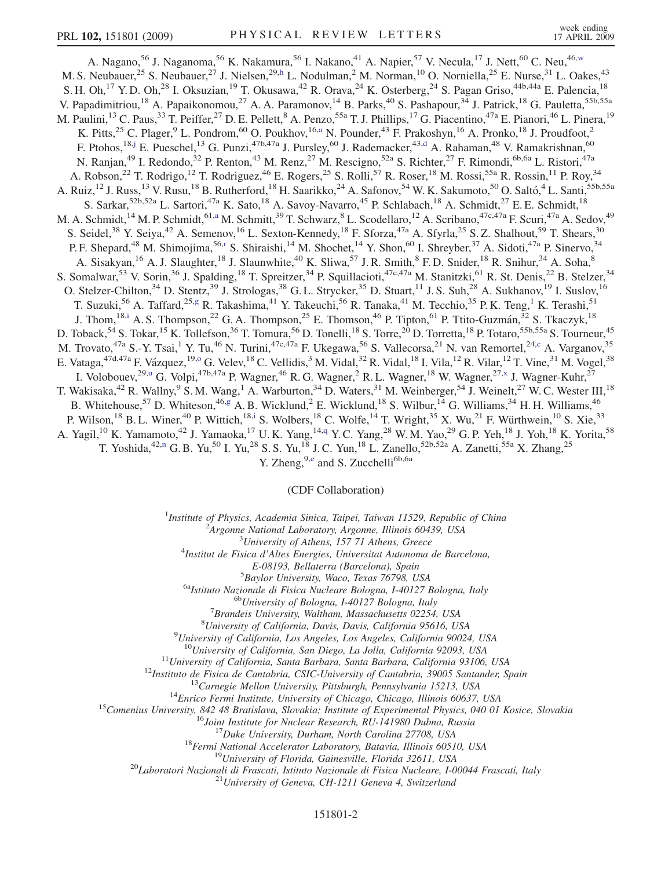<span id="page-4-0"></span>A. Nagano,<sup>56</sup> J. Naganoma,<sup>56</sup> K. Nakamura,<sup>56</sup> I. Nakano,<sup>41</sup> A. Napier,<sup>57</sup> V. Necula,<sup>17</sup> J. Nett,<sup>60</sup> C. Neu,<sup>46,[w](#page-9-0)</sup> M. S. Neubauer,<sup>25</sup> S. Neubauer,<sup>27</sup> J. Nielsen,<sup>29,[h](#page-8-0)</sup> L. Nodulman,<sup>2</sup> M. Norman,<sup>10</sup> O. Norniella,<sup>25</sup> E. Nurse,<sup>31</sup> L. Oakes,<sup>43</sup> S. H. Oh,<sup>17</sup> Y. D. Oh,<sup>28</sup> I. Oksuzian,<sup>19</sup> T. Okusawa,<sup>42</sup> R. Orava,<sup>24</sup> K. Osterberg,<sup>24</sup> S. Pagan Griso,<sup>44b,44a</sup> E. Palencia,<sup>18</sup> V. Papadimitriou,<sup>18</sup> A. Papaikonomou,<sup>27</sup> A. A. Paramonov,<sup>14</sup> B. Parks,<sup>40</sup> S. Pashapour,<sup>34</sup> J. Patrick,<sup>18</sup> G. Pauletta,<sup>55b,55a</sup> M. Paulini,<sup>13</sup> C. Paus,<sup>33</sup> T. Peiffer,<sup>27</sup> D. E. Pellett,<sup>8</sup> A. Penzo,<sup>55a</sup> T. J. Phillips,<sup>17</sup> G. Piacentino,<sup>47a</sup> E. Pianori,<sup>46</sup> L. Pinera,<sup>19</sup> K. Pitts,<sup>25</sup> C. Plager,<sup>9</sup> L. Pondrom,<sup>60</sup> O. Poukhov,<sup>16[,a](#page-8-0)</sup> N. Pounder,<sup>43</sup> F. Prakoshyn,<sup>16</sup> A. Pronko,<sup>18</sup> J. Proudfoot,<sup>2</sup> F. Ptohos,<sup>18,[j](#page-8-0)</sup> E. Pueschel,<sup>13</sup> G. Punzi,<sup>47b,47a</sup> J. Pursley,<sup>60</sup> J. Ra[d](#page-8-0)emacker,<sup>43,d</sup> A. Rahaman,<sup>48</sup> V. Ramakrishnan,<sup>60</sup> N. Ranjan,<sup>49</sup> I. Redondo,<sup>32</sup> P. Renton,<sup>43</sup> M. Renz,<sup>27</sup> M. Rescigno,<sup>52a</sup> S. Richter,<sup>27</sup> F. Rimondi,<sup>6b,6a</sup> L. Ristori,<sup>47a</sup> A. Robson,<sup>22</sup> T. Rodrigo,<sup>12</sup> T. Rodriguez,<sup>46</sup> E. Rogers,<sup>25</sup> S. Rolli,<sup>57</sup> R. Roser,<sup>18</sup> M. Rossi,<sup>55a</sup> R. Rossin,<sup>11</sup> P. Roy,<sup>34</sup> A. Ruiz,<sup>12</sup> J. Russ,<sup>13</sup> V. Rusu,<sup>18</sup> B. Rutherford,<sup>18</sup> H. Saarikko,<sup>24</sup> A. Safonov,<sup>54</sup> W. K. Sakumoto,<sup>50</sup> O. Saltó,<sup>4</sup> L. Santi,<sup>55b,55a</sup> S. Sarkar,<sup>52b,52a</sup> L. Sartori,<sup>47a</sup> K. Sato,<sup>18</sup> A. Savoy-Navarro,<sup>45</sup> P. Schlabach,<sup>18</sup> A. Schmidt,<sup>27</sup> E. E. Schmidt,<sup>18</sup> M. A. Schmidt,<sup>14</sup> M. P. Schmidt,<sup>61,[a](#page-8-0)</sup> M. Schmitt,<sup>39</sup> T. Schwarz,<sup>8</sup> L. Scodellaro,<sup>12</sup> A. Scribano,<sup>47c,47a</sup> F. Scuri,<sup>47a</sup> A. Sedov,<sup>49</sup> S. Seidel,<sup>38</sup> Y. Seiya,<sup>42</sup> A. Semenov,<sup>16</sup> L. Sexton-Kennedy,<sup>18</sup> F. Sforza,<sup>47a</sup> A. Sfyrla,<sup>25</sup> S. Z. Shalhout,<sup>59</sup> T. Shears,<sup>30</sup> P. F. Shepa[r](#page-8-0)d,<sup>48</sup> M. Shimojima,<sup>56,r</sup> S. Shiraishi,<sup>14</sup> M. Shochet,<sup>14</sup> Y. Shon,<sup>60</sup> I. Shreyber,<sup>37</sup> A. Sidoti,<sup>47a</sup> P. Sinervo,<sup>34</sup> A. Sisakyan,<sup>16</sup> A. J. Slaughter,<sup>18</sup> J. Slaunwhite,<sup>40</sup> K. Sliwa,<sup>57</sup> J. R. Smith,<sup>8</sup> F. D. Snider,<sup>18</sup> R. Snihur,<sup>34</sup> A. Soha,<sup>8</sup> S. Somalwar,<sup>53</sup> V. Sorin,<sup>36</sup> J. Spalding,<sup>18</sup> T. Spreitzer,<sup>34</sup> P. Squillacioti,<sup>47c,47a</sup> M. Stanitzki,<sup>61</sup> R. St. Denis,<sup>22</sup> B. Stelzer,<sup>34</sup> O. Stelzer-Chilton,<sup>34</sup> D. Stentz,<sup>39</sup> J. Strologas,<sup>38</sup> G. L. Strycker,<sup>35</sup> D. Stuart,<sup>11</sup> J. S. Suh,<sup>28</sup> A. Sukhanov,<sup>19</sup> I. Suslov,<sup>16</sup> T. Suzuki,<sup>56</sup> A. Taffard,<sup>25,[g](#page-8-0)</sup> R. Takashima,<sup>41</sup> Y. Takeuchi,<sup>56</sup> R. Tanaka,<sup>41</sup> M. Tecchio,<sup>35</sup> P. K. Teng,<sup>1</sup> K. Terashi,<sup>51</sup> J. Thom,<sup>18,[i](#page-8-0)</sup> A. S. Thompson,<sup>22</sup> G. A. Thompson,<sup>25</sup> E. Thomson,<sup>46</sup> P. Tipton,<sup>61</sup> P. Ttito-Guzmán,<sup>32</sup> S. Tkaczyk,<sup>18</sup> D. Toback,<sup>54</sup> S. Tokar,<sup>15</sup> K. Tollefson,<sup>36</sup> T. Tomura,<sup>56</sup> D. Tonelli,<sup>18</sup> S. Torre,<sup>20</sup> D. Torretta,<sup>18</sup> P. Totaro,<sup>55b,55a</sup> S. Tourneur,<sup>45</sup> M. Trovato,<sup>47a</sup> S.-Y. Tsai,<sup>1</sup> Y. Tu,<sup>46</sup> N. Turini,<sup>47c,47a</sup> F. Ukegawa,<sup>56</sup> S. Vallecorsa,<sup>21</sup> N. van Remortel,<sup>24[,c](#page-8-0)</sup> A. Varganov,<sup>35</sup> E. Vataga,<sup>47d,47a</sup> F. Vázquez,<sup>19,0</sup> G. Velev,<sup>18</sup> C. Vellidis,<sup>3</sup> M. Vidal,<sup>32</sup> R. Vidal,<sup>18</sup> I. Vila,<sup>12</sup> R. Vilar,<sup>12</sup> T. Vine,<sup>31</sup> M. V[o](#page-8-0)gel,<sup>38</sup> I. Volobouev,<sup>29[,u](#page-9-0)</sup> G. Volpi,<sup>47b,47a</sup> P. Wagner,<sup>46</sup> R. G. Wagner,<sup>2</sup> R. L. Wagner,<sup>18</sup> W. Wagner,<sup>27,[x](#page-9-0)</sup> J. Wagner-Kuhr,<sup>27</sup> T. Wakisaka,<sup>42</sup> R. Wallny,<sup>9</sup> S. M. Wang,<sup>1</sup> A. Warburton,<sup>34</sup> D. Waters,<sup>31</sup> M. Weinberger,<sup>54</sup> J. Weinelt,<sup>27</sup> W. C. Wester III,<sup>18</sup> B. Whitehouse,<sup>57</sup> D. Whiteson,<sup>46[,g](#page-8-0)</sup> A. B. Wicklund,<sup>2</sup> E. Wicklund,<sup>18</sup> S. Wilbur,<sup>14</sup> G. Williams,<sup>34</sup> H. H. Williams,<sup>46</sup> P. Wilson,<sup>18</sup> B. L. Winer,<sup>40</sup> P. Wittich,<sup>18[,i](#page-8-0)</sup> S. Wolbers,<sup>18</sup> C. Wolfe,<sup>14</sup> T. Wright,<sup>35</sup> X. Wu,<sup>21</sup> F. Würthwein,<sup>10</sup> S. Xie,<sup>33</sup> A. Yagil,<sup>10</sup> K. Yamamoto,<sup>42</sup> J. Yamaoka,<sup>17</sup> U.K. Yang,<sup>14,[q](#page-8-0)</sup> Y.C. Yang,<sup>28</sup> W.M. Yao,<sup>29</sup> G.P. Yeh,<sup>18</sup> J. Yoh,<sup>18</sup> K. Yorita,<sup>58</sup> T. Yoshida,<sup>42,[n](#page-8-0)</sup> G. B. Yu,<sup>50</sup> I. Yu,<sup>28</sup> S. S. Yu,<sup>18</sup> J. C. Yun,<sup>18</sup> L. Zanello,<sup>52b,52a</sup> A. Zanetti,<sup>55a</sup> X. Zhang,<sup>25</sup>

Y. Zh[e](#page-8-0)ng,<sup>9,e</sup> and S. Zucchelli<sup>6b,6a</sup>

(CDF Collaboration)

<sup>1</sup>Institute of Physics, Academia Sinica, Taipei, Taiwan 11529, Republic of China<br><sup>2</sup>Argonna National Laboratory, Argonna Illinois 60430, USA

 $A$ rgonne National Laboratory, Argonne, Illinois 60439, USA<br> $3$ University of Athens, 157 71 Athens, Greece

University of Athens, 157 71 Athens, Greece <sup>4</sup> Institut de Fisica d'Altes Energies, Universitat Autonoma de Barcelona,

E-08193, Bellaterra (Barcelona), Spain<br><sup>5</sup>Baylor University, Waco, Texas 76798, USA

<sup>6a</sup>Istituto Nazionale di Fisica Nucleare Bologna, I-40127 Bologna, Italy 6bUniversity of Bologna, I-40127 Bologna, Italy

 ${}^{7}$ Brandeis University, Waltham, Massachusetts 02254, USA

 ${}^{8}$ University of California, Davis, Davis, California 95616, USA

<sup>9</sup>University of California, Los Angeles, Los Angeles, California 90024, USA

<sup>10</sup>University of California, San Diego, La Jolla, California 92093, USA<br><sup>11</sup>University of California, Santa Barbara, Santa Barbara, California 93106, USA<br><sup>12</sup>Instituto de Fisica de Cantabria, CSIC-University of Cantabria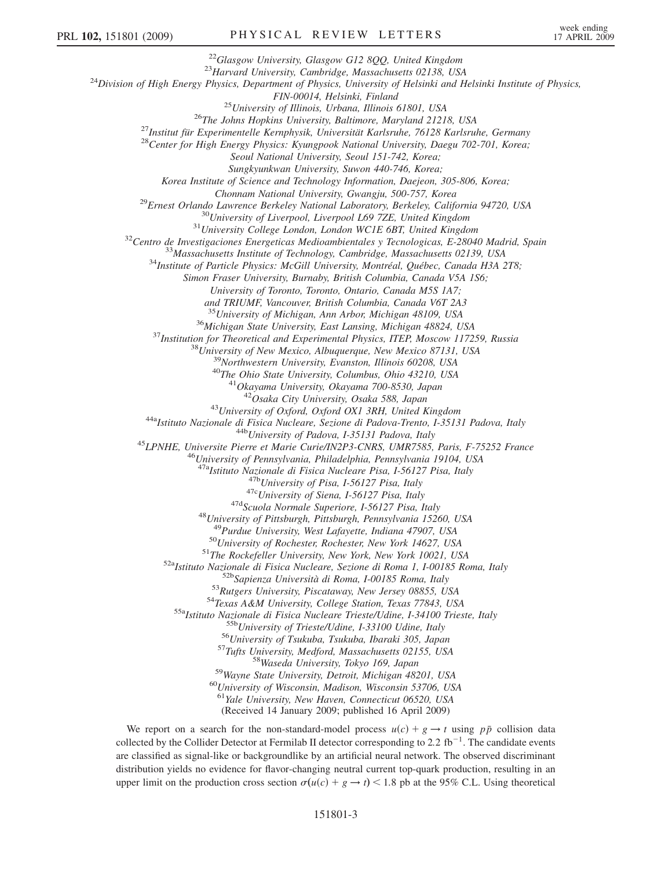<sup>22</sup>Glasgow University, Glasgow G12 8QQ, United Kingdom<br><sup>23</sup>Harvard University, Cambridge, Massachusetts 02138, USA<br><sup>24</sup>Division of High Energy Physics, Department of Physics, University of Helsinki and Helsinki Institute <sup>25</sup> University of Illinois, Urbana, Illinois 61801, USA<br><sup>26</sup>The Johns Hopkins University, Baltimore, Maryland 21218, USA<br><sup>27</sup>Institut für Experimentelle Kernphysik, Universität Karlsruhe, 76128 Karlsruhe, Germany<br><sup>28</sup>Cen Seoul National University, Seoul 151-742, Korea; Sungkyunkwan University, Suwon 440-746, Korea; Korea Institute of Science and Technology Information, Daejeon, 305-806, Korea; Chonnam National University, Gwangju, 500-757, Korea<br><sup>29</sup>Ernest Orlando Lawrence Berkeley National Laboratory, Berkeley, California 94720, USA<br><sup>30</sup>University of Liverpool, Liverpool L69 7ZE, United Kingdom<br><sup>31</sup>University C Simon Fraser University, Burnaby, British Columbia, Canada V5A 1S6; University of Toronto, Toronto, Ontario, Canada M5S 1A7; and TRIUMF, Vancouver, British Columbia, Canada V6T 2A3 <sup>35</sup> University of Michigan, Ann Arbor, Michigan 48109, USA<br><sup>36</sup> Michigan State University, East Lansing, Michigan 48824, USA<br><sup>37</sup> Institution for Theoretical and Experimental Physics, ITEP, Moscow 117259, Russia<br><sup>38</sup> Uni <sup>43</sup>University of Oxford, Oxford OX1 3RH, United Kingdom<br><sup>44a</sup>Istituto Nazionale di Fisica Nucleare, Sezione di Padova-Trento, I-35131 Padova, Italy<br><sup>44b</sup>University of Padova, I-35131 Padova, Italy<br><sup>45</sup>LPNHE, Universite P <sup>47b</sup>University of Pisa, I-56127 Pisa, Italy<br><sup>47c</sup>University of Siena, I-56127 Pisa, Italy<br><sup>47d</sup>Scuola Normale Superiore, I-56127 Pisa, Italy<br><sup>48</sup>University of Pittsburgh, Pittsburgh, Pennsylvania 15260, USA<br><sup>49</sup>Purdue Un <sup>49</sup>Purdue University, West Lafayette, Indiana 47907, USA<br><sup>50</sup>University of Rochester, Rochester, New York 14627, USA<br><sup>51</sup>The Rockefeller University, New York, New York 10021, USA<br><sup>52</sup>Natituto Nazionale di Fisica Nucleare <sup>60</sup>University of Wisconsin, Madison, Wisconsin 53706, USA<br><sup>61</sup>Yale University, New Haven, Connecticut 06520, USA (Received 14 January 2009; published 16 April 2009)

We report on a search for the non-standard-model process  $u(c) + g \rightarrow t$  using  $p\bar{p}$  collision data collected by the Collider Detector at Fermilab II detector corresponding to 2.2  $\text{fb}^{-1}$ . The candidate events are classified as signal-like or backgroundlike by an artificial neural network. The observed discriminant distribution yields no evidence for flavor-changing neutral current top-quark production, resulting in an upper limit on the production cross section  $\sigma(u(c) + g \rightarrow t)$  < 1.8 pb at the 95% C.L. Using theoretical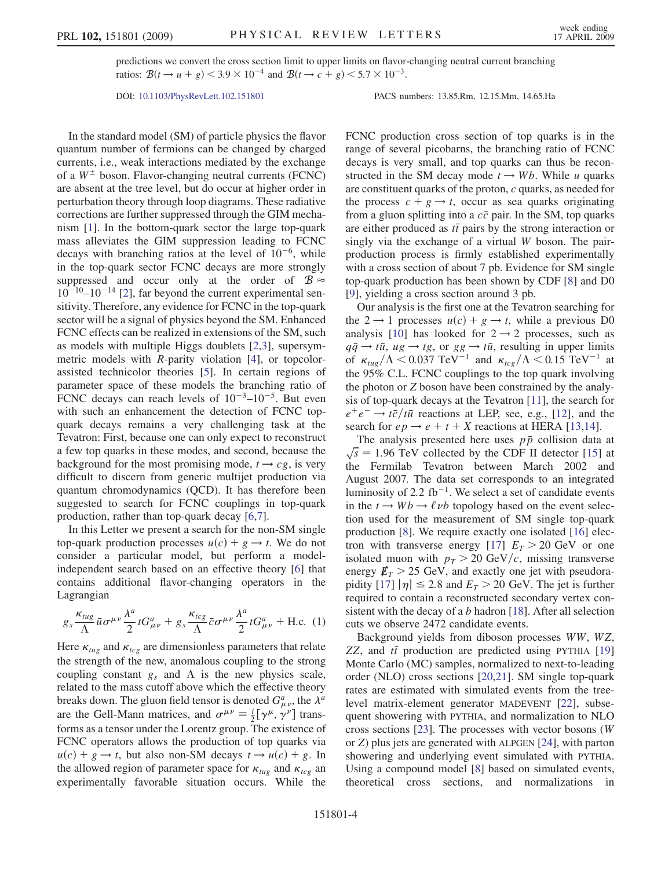predictions we convert the cross section limit to upper limits on flavor-changing neutral current branching ratios:  $B(t \to u + g) < 3.9 \times 10^{-4}$  and  $B(t \to c + g) < 5.7 \times 10^{-3}$ .

DOI: [10.1103/PhysRevLett.102.151801](http://dx.doi.org/10.1103/PhysRevLett.102.151801) PACS numbers: 13.85.Rm, 12.15.Mm, 14.65.Ha

In the standard model (SM) of particle physics the flavor quantum number of fermions can be changed by charged currents, i.e., weak interactions mediated by the exchange of a  $W^{\pm}$  boson. Flavor-changing neutral currents (FCNC) are absent at the tree level, but do occur at higher order in perturbation theory through loop diagrams. These radiative corrections are further suppressed through the GIM mechanism [[1\]](#page-9-0). In the bottom-quark sector the large top-quark mass alleviates the GIM suppression leading to FCNC decays with branching ratios at the level of  $10^{-6}$ , while in the top-quark sector FCNC decays are more strongly suppressed and occur only at the order of  $\mathcal{B} \approx$  $10^{-10}$ – $10^{-14}$  [\[2](#page-9-0)], far beyond the current experimental sensitivity. Therefore, any evidence for FCNC in the top-quark sector will be a signal of physics beyond the SM. Enhanced FCNC effects can be realized in extensions of the SM, such as models with multiple Higgs doublets [[2,3\]](#page-9-0), supersymmetric models with R-parity violation [[4\]](#page-9-0), or topcolorassisted technicolor theories [[5\]](#page-9-0). In certain regions of parameter space of these models the branching ratio of FCNC decays can reach levels of  $10^{-3}$ – $10^{-5}$ . But even with such an enhancement the detection of FCNC topquark decays remains a very challenging task at the Tevatron: First, because one can only expect to reconstruct a few top quarks in these modes, and second, because the background for the most promising mode,  $t \rightarrow cg$ , is very difficult to discern from generic multijet production via quantum chromodynamics (QCD). It has therefore been suggested to search for FCNC couplings in top-quark production, rather than top-quark decay [\[6,7](#page-9-0)].

In this Letter we present a search for the non-SM single top-quark production processes  $u(c) + g \rightarrow t$ . We do not consider a particular model, but perform a modelindependent search based on an effective theory [[6\]](#page-9-0) that contains additional flavor-changing operators in the Lagrangian

$$
g_s \frac{\kappa_{tug}}{\Lambda} \bar{u} \sigma^{\mu\nu} \frac{\lambda^a}{2} t G^a_{\mu\nu} + g_s \frac{\kappa_{tcg}}{\Lambda} \bar{c} \sigma^{\mu\nu} \frac{\lambda^a}{2} t G^a_{\mu\nu} + \text{H.c. (1)}
$$

Here  $\kappa_{tug}$  and  $\kappa_{tcg}$  are dimensionless parameters that relate the strength of the new, anomalous coupling to the strong coupling constant  $g_s$  and  $\Lambda$  is the new physics scale,<br>related to the mass cutoff above which the effective theory related to the mass cutoff above which the effective theory breaks down. The gluon field tensor is denoted  $G^a_{\mu\nu}$ , the  $\lambda^a$ <br>are the Gall Mann matrices, and  $\sigma^{\mu\nu} = i \int \gamma^{\mu} d^{\nu}$  trans. are the Gell-Mann matrices, and  $\sigma^{\mu\nu} \equiv \frac{i}{2} [\gamma^{\mu}, \gamma^{\nu}]$  trans-<br>forms as a tensor under the Lorentz group. The existence of forms as a tensor under the Lorentz group. The existence of FCNC operators allows the production of top quarks via  $u(c) + g \rightarrow t$ , but also non-SM decays  $t \rightarrow u(c) + g$ . In the allowed region of parameter space for  $\kappa_{tug}$  and  $\kappa_{tcg}$  and  $\kappa_{tcg}$  and  $\kappa_{tcg}$  and  $\kappa_{tcg}$  and  $\kappa_{tcg}$  and  $\kappa_{tcg}$  and  $\kappa_{tcg}$  and  $\kappa_{tcg}$  and  $\kappa_{tcg}$  and  $\kappa_{tcg}$  and  $\kappa_{tcg}$  and  $\kappa_{tcg}$  a experimentally favorable situation occurs. While the FCNC production cross section of top quarks is in the range of several picobarns, the branching ratio of FCNC decays is very small, and top quarks can thus be reconstructed in the SM decay mode  $t \rightarrow Wb$ . While u quarks are constituent quarks of the proton, c quarks, as needed for the process  $c + g \rightarrow t$ , occur as sea quarks originating from a gluon splitting into a  $c\bar{c}$  pair. In the SM, top quarks are either produced as  $t\bar{t}$  pairs by the strong interaction or<br>singly via the exchange of a virtual W boson. The pairsingly via the exchange of a virtual W boson. The pairproduction process is firmly established experimentally with a cross section of about 7 pb. Evidence for SM single top-quark production has been shown by CDF [\[8\]](#page-9-0) and D0 [\[9\]](#page-9-0), yielding a cross section around 3 pb.

Our analysis is the first one at the Tevatron searching for the  $2 \rightarrow 1$  processes  $u(c) + g \rightarrow t$ , while a previous D0 analysis [[10\]](#page-9-0) has looked for  $2 \rightarrow 2$  processes, such as  $q\bar{q} \to t\bar{u}$ ,  $ug \to tg$ , or  $gg \to t\bar{u}$ , resulting in upper limits<br>of  $\kappa$ ,  $/\lambda < 0.037$  TeV<sup>-1</sup> and  $\kappa$ ,  $/\lambda < 0.15$  TeV<sup>-1</sup> at of  $\kappa_{tug}/\Lambda < 0.037 \text{ TeV}^{-1}$  and  $\kappa_{tcg}/\Lambda < 0.15 \text{ TeV}^{-1}$  at the 95% C I. ECNC couplings to the top quark involving the 95% C.L. FCNC couplings to the top quark involving the photon or Z boson have been constrained by the analysis of top-quark decays at the Tevatron [[11](#page-9-0)], the search for  $e^+e^- \rightarrow t\bar{c}/t\bar{u}$  reactions at LEP, see, e.g., [[12](#page-9-0)], and the search for  $ep \rightarrow e + t + X$  reactions at HERA [\[13,14\]](#page-9-0).

The analysis presented here uses  $p\bar{p}$  collision data at  $\sqrt{s}$  = 1.96 TeV collected by the CDF II detector [[15](#page-9-0)] at the Fermilab Tevatron between March 2002 and August 2007. The data set corresponds to an integrated luminosity of 2.2 fb<sup>-1</sup>. We select a set of candidate events in the  $t \rightarrow Wb \rightarrow \ell \nu b$  topology based on the event selection used for the measurement of SM single top-quark production [[8](#page-9-0)]. We require exactly one isolated [\[16\]](#page-9-0) elec-tron with transverse energy [[17](#page-9-0)]  $E_T > 20$  GeV or one isolated muon with  $p_T > 20 \text{ GeV}/c$ , missing transverse energy  $E_T > 25$  GeV, and exactly one jet with pseudora-pidity [[17](#page-9-0)]  $|\eta| \le 2.8$  and  $E_T > 20$  GeV. The jet is further required to contain a reconstructed secondary vertex consistent with the decay of a  $b$  hadron [[18](#page-9-0)]. After all selection cuts we observe 2472 candidate events.

Background yields from diboson processes WW, WZ,  $ZZ$ , and  $t\bar{t}$  production are predicted using PYTHIA [\[19\]](#page-9-0)<br>Monte Carlo (MC) samples normalized to next-to-leading Monte Carlo (MC) samples, normalized to next-to-leading order (NLO) cross sections [[20](#page-9-0),[21](#page-9-0)]. SM single top-quark rates are estimated with simulated events from the treelevel matrix-element generator MADEVENT [\[22\]](#page-9-0), subsequent showering with PYTHIA, and normalization to NLO cross sections [\[23\]](#page-9-0). The processes with vector bosons (W or Z) plus jets are generated with ALPGEN [\[24\]](#page-9-0), with parton showering and underlying event simulated with PYTHIA. Using a compound model [[8](#page-9-0)] based on simulated events, theoretical cross sections, and normalizations in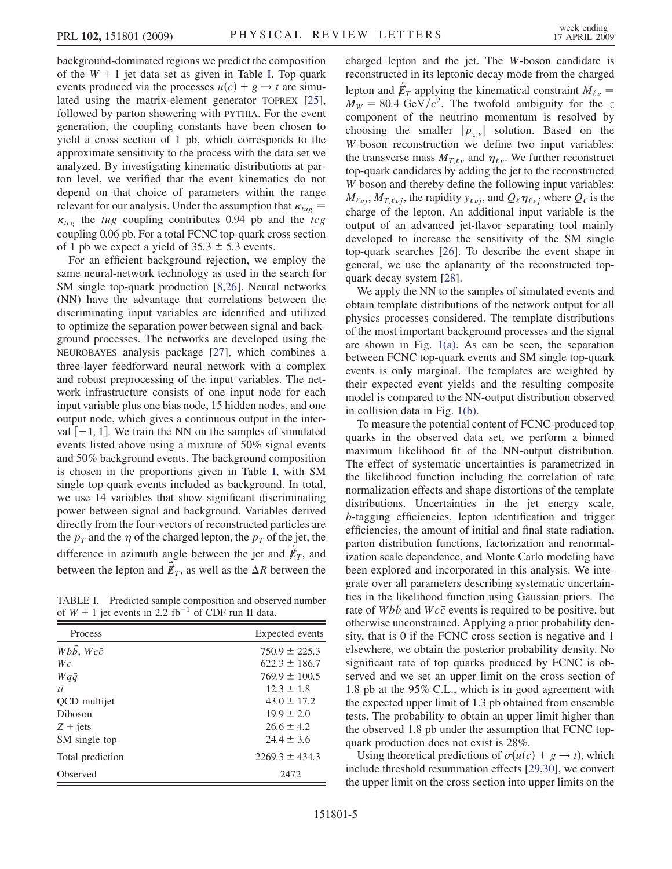background-dominated regions we predict the composition of the  $W + 1$  jet data set as given in Table I. Top-quark events produced via the processes  $u(c) + g \rightarrow t$  are simulated using the matrix-element generator TOPREX [\[25\]](#page-9-0), followed by parton showering with PYTHIA. For the event generation, the coupling constants have been chosen to yield a cross section of 1 pb, which corresponds to the approximate sensitivity to the process with the data set we analyzed. By investigating kinematic distributions at parton level, we verified that the event kinematics do not depend on that choice of parameters within the range relevant for our analysis. Under the assumption that  $\kappa_{tug} = \kappa$  the tug coupling contributes 0.94 pp and the top -coupling 0.06 pb. For a total FCNC top-quark cross section  $\kappa_{tcg}$  the tug coupling contributes 0.94 pb and the tcg of 1 pb we expect a yield of  $35.3 \pm 5.3$  events.

For an efficient background rejection, we employ the same neural-network technology as used in the search for SM single top-quark production [[8,26](#page-9-0)]. Neural networks (NN) have the advantage that correlations between the discriminating input variables are identified and utilized to optimize the separation power between signal and background processes. The networks are developed using the NEUROBAYES analysis package [\[27\]](#page-9-0), which combines a three-layer feedforward neural network with a complex and robust preprocessing of the input variables. The network infrastructure consists of one input node for each input variable plus one bias node, 15 hidden nodes, and one output node, which gives a continuous output in the interval  $[-1, 1]$ . We train the NN on the samples of simulated events listed above using a mixture of 50% signal events and 50% background events. The background composition is chosen in the proportions given in Table I, with SM single top-quark events included as background. In total, we use 14 variables that show significant discriminating power between signal and background. Variables derived directly from the four-vectors of reconstructed particles are the  $p_T$  and the  $\eta$  of the charged lepton, the  $p_T$  of the jet, the difference in azimuth angle between the jet and  $\not\hspace{-.15cm}/F_T$ , and between the lepton and  $\not\hspace{-1.2mm}E_T$ , as well as the  $\Delta R$  between the

TABLE I. Predicted sample composition and observed number of  $W + 1$  jet events in 2.2 fb<sup>-1</sup> of CDF run II data.

| Process                   | Expected events    |
|---------------------------|--------------------|
| $Wb\bar{b}$ , $Wc\bar{c}$ | $750.9 \pm 225.3$  |
| Wc                        | $622.3 \pm 186.7$  |
| $Wq\bar{q}$               | $769.9 \pm 100.5$  |
| $t\bar{t}$                | $12.3 + 1.8$       |
| QCD multijet              | $43.0 \pm 17.2$    |
| Diboson                   | $19.9 \pm 2.0$     |
| $Z + jets$                | $26.6 + 4.2$       |
| SM single top             | $24.4 \pm 3.6$     |
| Total prediction          | $2269.3 \pm 434.3$ |
| Observed                  | 2472               |

charged lepton and the jet. The W-boson candidate is reconstructed in its leptonic decay mode from the charged lepton and  $\not{E}_T$  applying the kinematical constraint  $M_{\ell \nu} = M_{\nu \nu} = 80.4$  GeV/ $c^2$ . The twofold ambiguity for the z  $M_W = 80.4 \text{ GeV}/c^2$ . The twofold ambiguity for the z component of the neutrino momentum is resolved by choosing the smaller  $|p_{z,v}|$  solution. Based on the W-boson reconstruction we define two input variables: the transverse mass  $M_{T,\ell\nu}$  and  $\eta_{\ell\nu}$ . We further reconstruct top-quark candidates by adding the jet to the reconstructed W boson and thereby define the following input variables:  $M_{\ell \nu j}$ ,  $M_{T,\ell \nu j}$ , the rapidity  $y_{\ell \nu j}$ , and  $Q_{\ell} \eta_{\ell \nu j}$  where  $Q_{\ell}$  is the charge of the lepton. An additional input variable is the output of an advanced jet-flavor separating tool mainly developed to increase the sensitivity of the SM single top-quark searches [[26](#page-9-0)]. To describe the event shape in general, we use the aplanarity of the reconstructed topquark decay system [[28](#page-9-0)].

We apply the NN to the samples of simulated events and obtain template distributions of the network output for all physics processes considered. The template distributions of the most important background processes and the signal are shown in Fig. [1\(a\).](#page-8-0) As can be seen, the separation between FCNC top-quark events and SM single top-quark events is only marginal. The templates are weighted by their expected event yields and the resulting composite model is compared to the NN-output distribution observed in collision data in Fig. [1\(b\)](#page-8-0).

To measure the potential content of FCNC-produced top quarks in the observed data set, we perform a binned maximum likelihood fit of the NN-output distribution. The effect of systematic uncertainties is parametrized in the likelihood function including the correlation of rate normalization effects and shape distortions of the template distributions. Uncertainties in the jet energy scale, b-tagging efficiencies, lepton identification and trigger efficiencies, the amount of initial and final state radiation, parton distribution functions, factorization and renormalization scale dependence, and Monte Carlo modeling have been explored and incorporated in this analysis. We integrate over all parameters describing systematic uncertainties in the likelihood function using Gaussian priors. The rate of  $Wb\bar{b}$  and  $Wc\bar{c}$  events is required to be positive, but otherwise unconstrained. Applying a prior probability density, that is 0 if the FCNC cross section is negative and 1 elsewhere, we obtain the posterior probability density. No significant rate of top quarks produced by FCNC is observed and we set an upper limit on the cross section of 1.8 pb at the 95% C.L., which is in good agreement with the expected upper limit of 1.3 pb obtained from ensemble tests. The probability to obtain an upper limit higher than the observed 1.8 pb under the assumption that FCNC topquark production does not exist is 28%.

Using theoretical predictions of  $\sigma(u(c) + g \rightarrow t)$ , which include threshold resummation effects [[29](#page-9-0),[30](#page-9-0)], we convert the upper limit on the cross section into upper limits on the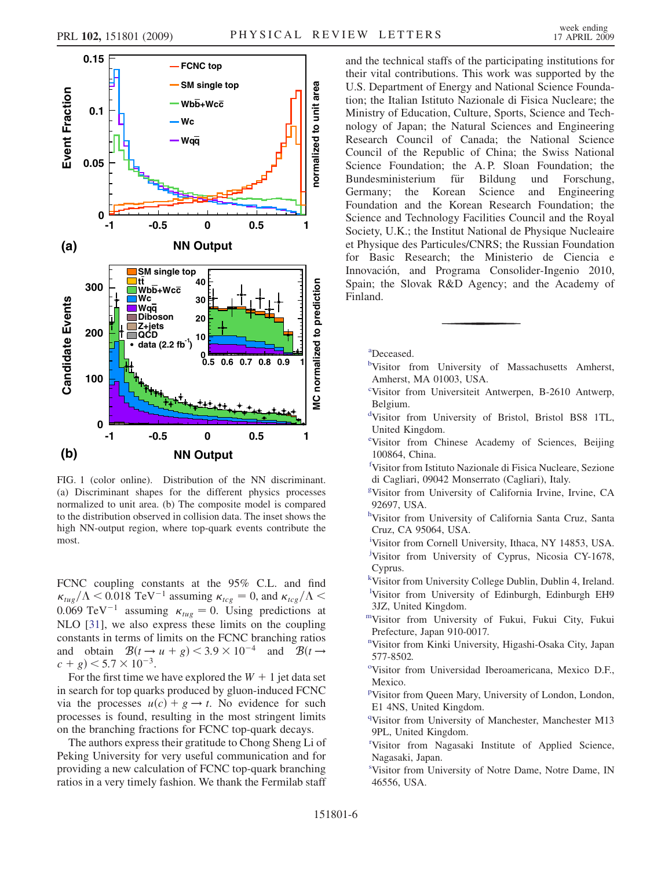<span id="page-8-0"></span>

FIG. 1 (color online). Distribution of the NN discriminant. (a) Discriminant shapes for the different physics processes normalized to unit area. (b) The composite model is compared to the distribution observed in collision data. The inset shows the high NN-output region, where top-quark events contribute the most.

FCNC coupling constants at the 95% C.L. and find  $\kappa_{tug}/\Lambda < 0.018 \text{ TeV}^{-1}$  assuming  $\kappa_{tcg} = 0$ , and  $\kappa_{tcg}/\Lambda < 0.069 \text{ TeV}^{-1}$  assuming  $\kappa_{tug} = 0$ . Using predictions at NI O [31], we also express these limits on the coupling NLO [\[31\]](#page-9-0), we also express these limits on the coupling constants in terms of limits on the FCNC branching ratios and obtain  $\mathcal{B}(t \to u + g) < 3.9 \times 10^{-4}$  and  $\mathcal{B}(t \to c + g) < 5.7 \times 10^{-3}$  $(c + g) < 5.7 \times 10^{-3}$ .<br>For the first time we

For the first time we have explored the  $W + 1$  jet data set in search for top quarks produced by gluon-induced FCNC via the processes  $u(c) + g \rightarrow t$ . No evidence for such processes is found, resulting in the most stringent limits on the branching fractions for FCNC top-quark decays.

The authors express their gratitude to Chong Sheng Li of Peking University for very useful communication and for providing a new calculation of FCNC top-quark branching ratios in a very timely fashion. We thank the Fermilab staff

and the technical staffs of the participating institutions for their vital contributions. This work was supported by the U.S. Department of Energy and National Science Foundation; the Italian Istituto Nazionale di Fisica Nucleare; the Ministry of Education, Culture, Sports, Science and Technology of Japan; the Natural Sciences and Engineering Research Council of Canada; the National Science Council of the Republic of China; the Swiss National Science Foundation; the A.P. Sloan Foundation; the Bundesministerium für Bildung und Forschung, Germany; the Korean Science and Engineering Foundation and the Korean Research Foundation; the Science and Technology Facilities Council and the Royal Society, U.K.; the Institut National de Physique Nucleaire et Physique des Particules/CNRS; the Russian Foundation for Basic Research; the Ministerio de Ciencia e Innovación, and Programa Consolider-Ingenio 2010, Spain; the Slovak R&D Agency; and the Academy of Finland.

[a](#page-4-0) Deceased.

- [b](#page-3-0)Visitor from University of Massachusetts Amherst, Amherst, MA 01003, USA.
- <sup>[c](#page-4-0)</sup>Visitor from Universiteit Antwerpen, B-2610 Antwerp, Belgium.
- [d](#page-3-0) Visitor from University of Bristol, Bristol BS8 1TL, United Kingdom.
- [e](#page-4-0) Visitor from Chinese Academy of Sciences, Beijing 100864, China.
- [f](#page-3-0) Visitor from Istituto Nazionale di Fisica Nucleare, Sezione di Cagliari, 09042 Monserrato (Cagliari), Italy.
- [g](#page-4-0) Visitor from University of California Irvine, Irvine, CA 92697, USA.
- [h](#page-4-0) Visitor from University of California Santa Cruz, Santa Cruz, CA 95064, USA.
- [i](#page-4-0) Visitor from Cornell University, Ithaca, NY 14853, USA.
- [j](#page-4-0) Visitor from University of Cyprus, Nicosia CY-1678, Cyprus.
- [k](#page-3-0) Visitor from University College Dublin, Dublin 4, Ireland. [l](#page-3-0) Visitor from University of Edinburgh, Edinburgh EH9 3JZ, United Kingdom.
- [mV](#page-3-0)isitor from University of Fukui, Fukui City, Fukui Prefecture, Japan 910-0017.
- [n](#page-4-0) Visitor from Kinki University, Higashi-Osaka City, Japan 577-8502.
- <sup>[o](#page-3-0)</sup>Visitor from Universidad Iberoamericana, Mexico D.F., Mexico.
- <su[p](#page-3-0)>p</sup>Visitor from Queen Mary, University of London, London, E1 4NS, United Kingdom.
- <sup>[q](#page-4-0)</sup>Visitor from University of Manchester, Manchester M13 9PL, United Kingdom.
- [r](#page-4-0) Visitor from Nagasaki Institute of Applied Science, Nagasaki, Japan.
- [s](#page-3-0) Visitor from University of Notre Dame, Notre Dame, IN 46556, USA.